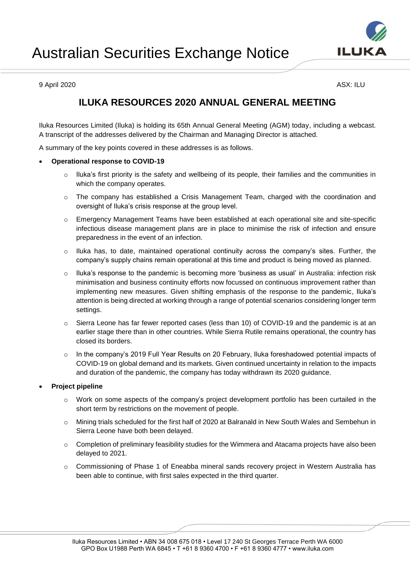

9 April 2020 ASX: ILU

# **ILUKA RESOURCES 2020 ANNUAL GENERAL MEETING**

Iluka Resources Limited (Iluka) is holding its 65th Annual General Meeting (AGM) today, including a webcast. A transcript of the addresses delivered by the Chairman and Managing Director is attached.

A summary of the key points covered in these addresses is as follows.

# **Operational response to COVID-19**

- o Iluka's first priority is the safety and wellbeing of its people, their families and the communities in which the company operates.
- $\circ$  The company has established a Crisis Management Team, charged with the coordination and oversight of Iluka's crisis response at the group level.
- o Emergency Management Teams have been established at each operational site and site-specific infectious disease management plans are in place to minimise the risk of infection and ensure preparedness in the event of an infection.
- $\circ$  Iluka has, to date, maintained operational continuity across the company's sites. Further, the company's supply chains remain operational at this time and product is being moved as planned.
- o Iluka's response to the pandemic is becoming more 'business as usual' in Australia: infection risk minimisation and business continuity efforts now focussed on continuous improvement rather than implementing new measures. Given shifting emphasis of the response to the pandemic, Iluka's attention is being directed at working through a range of potential scenarios considering longer term settings.
- o Sierra Leone has far fewer reported cases (less than 10) of COVID-19 and the pandemic is at an earlier stage there than in other countries. While Sierra Rutile remains operational, the country has closed its borders.
- o In the company's 2019 Full Year Results on 20 February, Iluka foreshadowed potential impacts of COVID-19 on global demand and its markets. Given continued uncertainty in relation to the impacts and duration of the pandemic, the company has today withdrawn its 2020 guidance.

### **Project pipeline**

- o Work on some aspects of the company's project development portfolio has been curtailed in the short term by restrictions on the movement of people.
- o Mining trials scheduled for the first half of 2020 at Balranald in New South Wales and Sembehun in Sierra Leone have both been delayed.
- $\circ$  Completion of preliminary feasibility studies for the Wimmera and Atacama projects have also been delayed to 2021.
- o Commissioning of Phase 1 of Eneabba mineral sands recovery project in Western Australia has been able to continue, with first sales expected in the third quarter.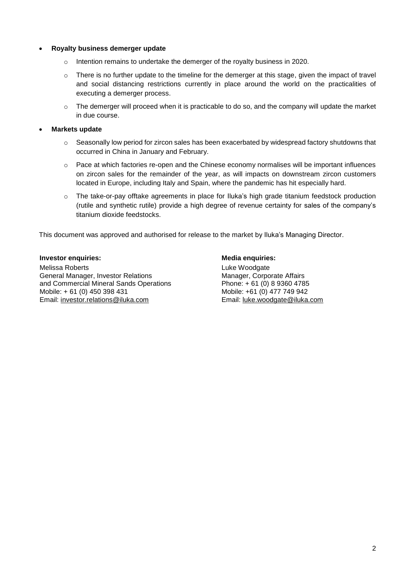### **Royalty business demerger update**

- $\circ$  Intention remains to undertake the demerger of the royalty business in 2020.
- $\circ$  There is no further update to the timeline for the demerger at this stage, given the impact of travel and social distancing restrictions currently in place around the world on the practicalities of executing a demerger process.
- $\circ$  The demerger will proceed when it is practicable to do so, and the company will update the market in due course.

# **Markets update**

- $\circ$  Seasonally low period for zircon sales has been exacerbated by widespread factory shutdowns that occurred in China in January and February.
- $\circ$  Pace at which factories re-open and the Chinese economy normalises will be important influences on zircon sales for the remainder of the year, as will impacts on downstream zircon customers located in Europe, including Italy and Spain, where the pandemic has hit especially hard.
- o The take-or-pay offtake agreements in place for Iluka's high grade titanium feedstock production (rutile and synthetic rutile) provide a high degree of revenue certainty for sales of the company's titanium dioxide feedstocks.

This document was approved and authorised for release to the market by Iluka's Managing Director.

### **Investor enquiries: Media enquiries: Media enquiries:**

Melissa Roberts General Manager, Investor Relations and Commercial Mineral Sands Operations Mobile: + 61 (0) 450 398 431 Email: [investor.relations@iluka.com](mailto:investor.relations@iluka.com)

Luke Woodgate Manager, Corporate Affairs Phone: + 61 (0) 8 9360 4785 Mobile: +61 (0) 477 749 942 Email: [luke.woodgate@iluka.com](mailto:luke.woodgate@iluka.com)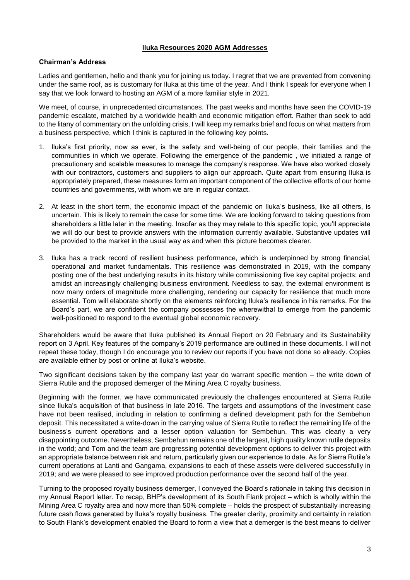#### **Iluka Resources 2020 AGM Addresses**

### **Chairman's Address**

Ladies and gentlemen, hello and thank you for joining us today. I regret that we are prevented from convening under the same roof, as is customary for Iluka at this time of the year. And I think I speak for everyone when I say that we look forward to hosting an AGM of a more familiar style in 2021.

We meet, of course, in unprecedented circumstances. The past weeks and months have seen the COVID-19 pandemic escalate, matched by a worldwide health and economic mitigation effort. Rather than seek to add to the litany of commentary on the unfolding crisis, I will keep my remarks brief and focus on what matters from a business perspective, which I think is captured in the following key points.

- 1. Iluka's first priority, now as ever, is the safety and well-being of our people, their families and the communities in which we operate. Following the emergence of the pandemic , we initiated a range of precautionary and scalable measures to manage the company's response. We have also worked closely with our contractors, customers and suppliers to align our approach. Quite apart from ensuring Iluka is appropriately prepared, these measures form an important component of the collective efforts of our home countries and governments, with whom we are in regular contact.
- 2. At least in the short term, the economic impact of the pandemic on Iluka's business, like all others, is uncertain. This is likely to remain the case for some time. We are looking forward to taking questions from shareholders a little later in the meeting. Insofar as they may relate to this specific topic, you'll appreciate we will do our best to provide answers with the information currently available. Substantive updates will be provided to the market in the usual way as and when this picture becomes clearer.
- 3. Iluka has a track record of resilient business performance, which is underpinned by strong financial, operational and market fundamentals. This resilience was demonstrated in 2019, with the company posting one of the best underlying results in its history while commissioning five key capital projects; and amidst an increasingly challenging business environment. Needless to say, the external environment is now many orders of magnitude more challenging, rendering our capacity for resilience that much more essential. Tom will elaborate shortly on the elements reinforcing Iluka's resilience in his remarks. For the Board's part, we are confident the company possesses the wherewithal to emerge from the pandemic well-positioned to respond to the eventual global economic recovery.

Shareholders would be aware that Iluka published its Annual Report on 20 February and its Sustainability report on 3 April. Key features of the company's 2019 performance are outlined in these documents. I will not repeat these today, though I do encourage you to review our reports if you have not done so already. Copies are available either by post or online at Iluka's website.

Two significant decisions taken by the company last year do warrant specific mention – the write down of Sierra Rutile and the proposed demerger of the Mining Area C royalty business.

Beginning with the former, we have communicated previously the challenges encountered at Sierra Rutile since Iluka's acquisition of that business in late 2016. The targets and assumptions of the investment case have not been realised, including in relation to confirming a defined development path for the Sembehun deposit. This necessitated a write-down in the carrying value of Sierra Rutile to reflect the remaining life of the business's current operations and a lesser option valuation for Sembehun. This was clearly a very disappointing outcome. Nevertheless, Sembehun remains one of the largest, high quality known rutile deposits in the world; and Tom and the team are progressing potential development options to deliver this project with an appropriate balance between risk and return, particularly given our experience to date. As for Sierra Rutile's current operations at Lanti and Gangama, expansions to each of these assets were delivered successfully in 2019; and we were pleased to see improved production performance over the second half of the year.

Turning to the proposed royalty business demerger, I conveyed the Board's rationale in taking this decision in my Annual Report letter. To recap, BHP's development of its South Flank project – which is wholly within the Mining Area C royalty area and now more than 50% complete – holds the prospect of substantially increasing future cash flows generated by Iluka's royalty business. The greater clarity, proximity and certainty in relation to South Flank's development enabled the Board to form a view that a demerger is the best means to deliver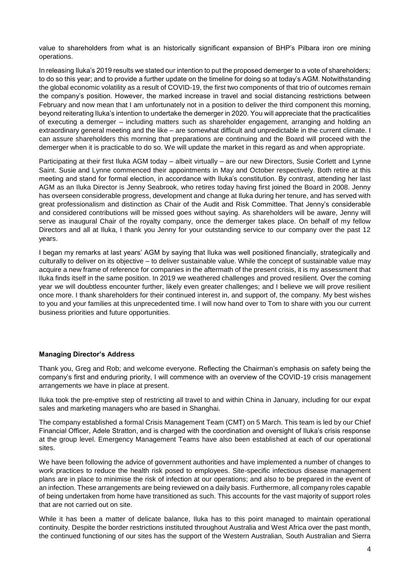value to shareholders from what is an historically significant expansion of BHP's Pilbara iron ore mining operations.

In releasing Iluka's 2019 results we stated our intention to put the proposed demerger to a vote of shareholders; to do so this year; and to provide a further update on the timeline for doing so at today's AGM. Notwithstanding the global economic volatility as a result of COVID-19, the first two components of that trio of outcomes remain the company's position. However, the marked increase in travel and social distancing restrictions between February and now mean that I am unfortunately not in a position to deliver the third component this morning, beyond reiterating Iluka's intention to undertake the demerger in 2020. You will appreciate that the practicalities of executing a demerger – including matters such as shareholder engagement, arranging and holding an extraordinary general meeting and the like – are somewhat difficult and unpredictable in the current climate. I can assure shareholders this morning that preparations are continuing and the Board will proceed with the demerger when it is practicable to do so. We will update the market in this regard as and when appropriate.

Participating at their first Iluka AGM today – albeit virtually – are our new Directors, Susie Corlett and Lynne Saint. Susie and Lynne commenced their appointments in May and October respectively. Both retire at this meeting and stand for formal election, in accordance with Iluka's constitution. By contrast, attending her last AGM as an Iluka Director is Jenny Seabrook, who retires today having first joined the Board in 2008. Jenny has overseen considerable progress, development and change at Iluka during her tenure, and has served with great professionalism and distinction as Chair of the Audit and Risk Committee. That Jenny's considerable and considered contributions will be missed goes without saying. As shareholders will be aware, Jenny will serve as inaugural Chair of the royalty company, once the demerger takes place. On behalf of my fellow Directors and all at Iluka, I thank you Jenny for your outstanding service to our company over the past 12 years.

I began my remarks at last years' AGM by saying that Iluka was well positioned financially, strategically and culturally to deliver on its objective – to deliver sustainable value. While the concept of sustainable value may acquire a new frame of reference for companies in the aftermath of the present crisis, it is my assessment that Iluka finds itself in the same position. In 2019 we weathered challenges and proved resilient. Over the coming year we will doubtless encounter further, likely even greater challenges; and I believe we will prove resilient once more. I thank shareholders for their continued interest in, and support of, the company. My best wishes to you and your families at this unprecedented time. I will now hand over to Tom to share with you our current business priorities and future opportunities.

### **Managing Director's Address**

Thank you, Greg and Rob; and welcome everyone. Reflecting the Chairman's emphasis on safety being the company's first and enduring priority, I will commence with an overview of the COVID-19 crisis management arrangements we have in place at present.

Iluka took the pre-emptive step of restricting all travel to and within China in January, including for our expat sales and marketing managers who are based in Shanghai.

The company established a formal Crisis Management Team (CMT) on 5 March. This team is led by our Chief Financial Officer, Adele Stratton, and is charged with the coordination and oversight of Iluka's crisis response at the group level. Emergency Management Teams have also been established at each of our operational sites.

We have been following the advice of government authorities and have implemented a number of changes to work practices to reduce the health risk posed to employees. Site-specific infectious disease management plans are in place to minimise the risk of infection at our operations; and also to be prepared in the event of an infection. These arrangements are being reviewed on a daily basis. Furthermore, all company roles capable of being undertaken from home have transitioned as such. This accounts for the vast majority of support roles that are not carried out on site.

While it has been a matter of delicate balance, Iluka has to this point managed to maintain operational continuity. Despite the border restrictions instituted throughout Australia and West Africa over the past month, the continued functioning of our sites has the support of the Western Australian, South Australian and Sierra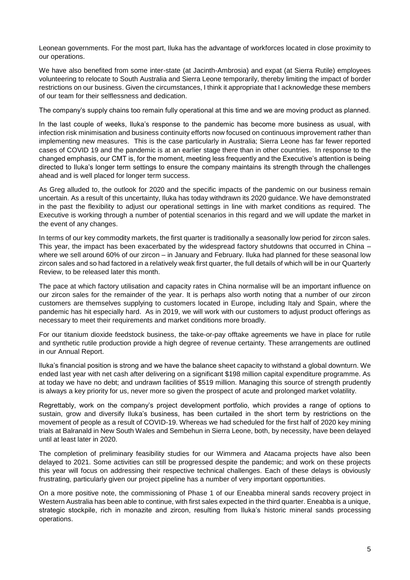Leonean governments. For the most part, Iluka has the advantage of workforces located in close proximity to our operations.

We have also benefited from some inter-state (at Jacinth-Ambrosia) and expat (at Sierra Rutile) employees volunteering to relocate to South Australia and Sierra Leone temporarily, thereby limiting the impact of border restrictions on our business. Given the circumstances, I think it appropriate that I acknowledge these members of our team for their selflessness and dedication.

The company's supply chains too remain fully operational at this time and we are moving product as planned.

In the last couple of weeks, Iluka's response to the pandemic has become more business as usual, with infection risk minimisation and business continuity efforts now focused on continuous improvement rather than implementing new measures. This is the case particularly in Australia; Sierra Leone has far fewer reported cases of COVID 19 and the pandemic is at an earlier stage there than in other countries. In response to the changed emphasis, our CMT is, for the moment, meeting less frequently and the Executive's attention is being directed to Iluka's longer term settings to ensure the company maintains its strength through the challenges ahead and is well placed for longer term success.

As Greg alluded to, the outlook for 2020 and the specific impacts of the pandemic on our business remain uncertain. As a result of this uncertainty, Iluka has today withdrawn its 2020 guidance. We have demonstrated in the past the flexibility to adjust our operational settings in line with market conditions as required. The Executive is working through a number of potential scenarios in this regard and we will update the market in the event of any changes.

In terms of our key commodity markets, the first quarter is traditionally a seasonally low period for zircon sales. This year, the impact has been exacerbated by the widespread factory shutdowns that occurred in China – where we sell around 60% of our zircon – in January and February. Iluka had planned for these seasonal low zircon sales and so had factored in a relatively weak first quarter, the full details of which will be in our Quarterly Review, to be released later this month.

The pace at which factory utilisation and capacity rates in China normalise will be an important influence on our zircon sales for the remainder of the year. It is perhaps also worth noting that a number of our zircon customers are themselves supplying to customers located in Europe, including Italy and Spain, where the pandemic has hit especially hard. As in 2019, we will work with our customers to adjust product offerings as necessary to meet their requirements and market conditions more broadly.

For our titanium dioxide feedstock business, the take-or-pay offtake agreements we have in place for rutile and synthetic rutile production provide a high degree of revenue certainty. These arrangements are outlined in our Annual Report.

Iluka's financial position is strong and we have the balance sheet capacity to withstand a global downturn. We ended last year with net cash after delivering on a significant \$198 million capital expenditure programme. As at today we have no debt; and undrawn facilities of \$519 million. Managing this source of strength prudently is always a key priority for us, never more so given the prospect of acute and prolonged market volatility.

Regrettably, work on the company's project development portfolio, which provides a range of options to sustain, grow and diversify Iluka's business, has been curtailed in the short term by restrictions on the movement of people as a result of COVID-19. Whereas we had scheduled for the first half of 2020 key mining trials at Balranald in New South Wales and Sembehun in Sierra Leone, both, by necessity, have been delayed until at least later in 2020.

The completion of preliminary feasibility studies for our Wimmera and Atacama projects have also been delayed to 2021. Some activities can still be progressed despite the pandemic; and work on these projects this year will focus on addressing their respective technical challenges. Each of these delays is obviously frustrating, particularly given our project pipeline has a number of very important opportunities.

On a more positive note, the commissioning of Phase 1 of our Eneabba mineral sands recovery project in Western Australia has been able to continue, with first sales expected in the third quarter. Eneabba is a unique, strategic stockpile, rich in monazite and zircon, resulting from Iluka's historic mineral sands processing operations.